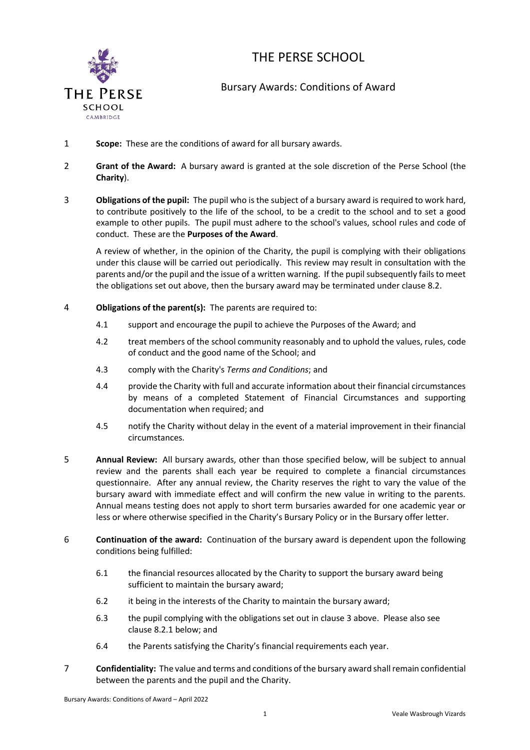

## THE PERSE SCHOOL

## Bursary Awards: Conditions of Award

- 1 **Scope:** These are the conditions of award for all bursary awards.
- 2 **Grant of the Award:** A bursary award is granted at the sole discretion of the Perse School (the **Charity**).
- <span id="page-0-0"></span>3 **Obligations of the pupil:** The pupil who is the subject of a bursary award is required to work hard, to contribute positively to the life of the school, to be a credit to the school and to set a good example to other pupils. The pupil must adhere to the school's values, school rules and code of conduct. These are the **Purposes of the Award**.

A review of whether, in the opinion of the Charity, the pupil is complying with their obligations under this clause will be carried out periodically. This review may result in consultation with the parents and/or the pupil and the issue of a written warning. If the pupil subsequently fails to meet the obligations set out above, then the bursary award may be terminated under claus[e 8.2.](#page-1-0)

- <span id="page-0-4"></span>4 **Obligations of the parent(s):** The parents are required to:
	- 4.1 support and encourage the pupil to achieve the Purposes of the Award; and
	- 4.2 treat members of the school community reasonably and to uphold the values, rules, code of conduct and the good name of the School; and
	- 4.3 comply with the Charity's *Terms and Conditions*; and
	- 4.4 provide the Charity with full and accurate information about their financial circumstances by means of a completed Statement of Financial Circumstances and supporting documentation when required; and
	- 4.5 notify the Charity without delay in the event of a material improvement in their financial circumstances.
- <span id="page-0-1"></span>5 **Annual Review:** All bursary awards, other than those specified below, will be subject to annual review and the parents shall each year be required to complete a financial circumstances questionnaire. After any annual review, the Charity reserves the right to vary the value of the bursary award with immediate effect and will confirm the new value in writing to the parents. Annual means testing does not apply to short term bursaries awarded for one academic year or less or where otherwise specified in the Charity's Bursary Policy or in the Bursary offer letter.
- <span id="page-0-3"></span><span id="page-0-2"></span>6 **Continuation of the award:** Continuation of the bursary award is dependent upon the following conditions being fulfilled:
	- 6.1 the financial resources allocated by the Charity to support the bursary award being sufficient to maintain the bursary award;
	- 6.2 it being in the interests of the Charity to maintain the bursary award;
	- 6.3 the pupil complying with the obligations set out in claus[e 3](#page-0-0) above. Please also see clause [8.2.1](#page-1-1) below; and
	- 6.4 the Parents satisfying the Charity's financial requirements each year.
- <span id="page-0-5"></span>7 **Confidentiality:** The value and terms and conditions of the bursary award shall remain confidential between the parents and the pupil and the Charity.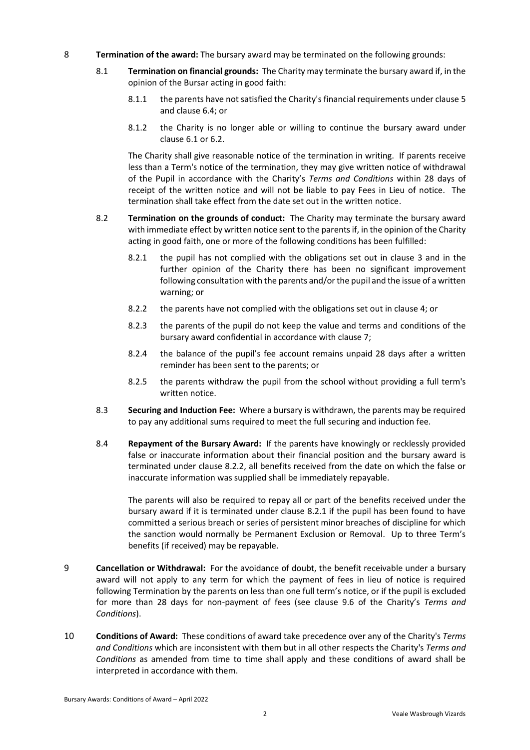- 8 **Termination of the award:** The bursary award may be terminated on the following grounds:
	- 8.1 **Termination on financial grounds:** The Charity may terminate the bursary award if, in the opinion of the Bursar acting in good faith:
		- 8.1.1 the parents have not satisfied the Charity's financial requirements under clause [5](#page-0-1) and clause 6.4; or
		- 8.1.2 the Charity is no longer able or willing to continue the bursary award under clause [6.1](#page-0-2) o[r 6.2.](#page-0-3)

The Charity shall give reasonable notice of the termination in writing. If parents receive less than a Term's notice of the termination, they may give written notice of withdrawal of the Pupil in accordance with the Charity's *Terms and Conditions* within 28 days of receipt of the written notice and will not be liable to pay Fees in Lieu of notice. The termination shall take effect from the date set out in the written notice.

- <span id="page-1-2"></span><span id="page-1-1"></span><span id="page-1-0"></span>8.2 **Termination on the grounds of conduct:** The Charity may terminate the bursary award with immediate effect by written notice sent to the parents if, in the opinion of the Charity acting in good faith, one or more of the following conditions has been fulfilled:
	- 8.2.1 the pupil has not complied with the obligations set out in clause [3](#page-0-0) and in the further opinion of the Charity there has been no significant improvement following consultation with the parents and/or the pupil and the issue of a written warning; or
	- 8.2.2 the parents have not complied with the obligations set out in clause [4;](#page-0-4) or
	- 8.2.3 the parents of the pupil do not keep the value and terms and conditions of the bursary award confidential in accordance with clause [7;](#page-0-5)
	- 8.2.4 the balance of the pupil's fee account remains unpaid 28 days after a written reminder has been sent to the parents; or
	- 8.2.5 the parents withdraw the pupil from the school without providing a full term's written notice.
- 8.3 **Securing and Induction Fee:** Where a bursary is withdrawn, the parents may be required to pay any additional sums required to meet the full securing and induction fee.
- 8.4 **Repayment of the Bursary Award:** If the parents have knowingly or recklessly provided false or inaccurate information about their financial position and the bursary award is terminated under clause [8.2.2,](#page-1-2) all benefits received from the date on which the false or inaccurate information was supplied shall be immediately repayable.

The parents will also be required to repay all or part of the benefits received under the bursary award if it is terminated under clause 8.2.1 if the pupil has been found to have committed a serious breach or series of persistent minor breaches of discipline for which the sanction would normally be Permanent Exclusion or Removal. Up to three Term's benefits (if received) may be repayable.

- 9 **Cancellation or Withdrawal:** For the avoidance of doubt, the benefit receivable under a bursary award will not apply to any term for which the payment of fees in lieu of notice is required following Termination by the parents on less than one full term's notice, or if the pupil is excluded for more than 28 days for non-payment of fees (see clause 9.6 of the Charity's *Terms and Conditions*).
- 10 **Conditions of Award:** These conditions of award take precedence over any of the Charity's *Terms and Conditions* which are inconsistent with them but in all other respects the Charity's *Terms and Conditions* as amended from time to time shall apply and these conditions of award shall be interpreted in accordance with them.